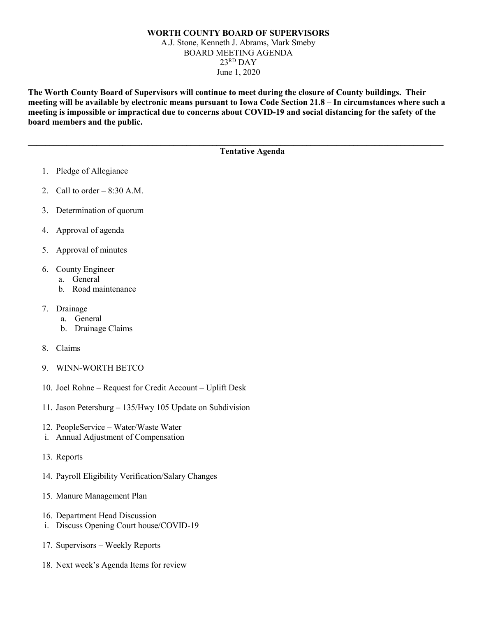## **WORTH COUNTY BOARD OF SUPERVISORS** A.J. Stone, Kenneth J. Abrams, Mark Smeby BOARD MEETING AGENDA 23RD DAY June 1, 2020

**The Worth County Board of Supervisors will continue to meet during the closure of County buildings. Their meeting will be available by electronic means pursuant to Iowa Code Section 21.8 – In circumstances where such a meeting is impossible or impractical due to concerns about COVID-19 and social distancing for the safety of the board members and the public.** 

**\_\_\_\_\_\_\_\_\_\_\_\_\_\_\_\_\_\_\_\_\_\_\_\_\_\_\_\_\_\_\_\_\_\_\_\_\_\_\_\_\_\_\_\_\_\_\_\_\_\_\_\_\_\_\_\_\_\_\_\_\_\_\_\_\_\_\_\_\_\_\_\_\_\_\_\_\_\_\_\_\_\_\_\_\_\_\_\_\_\_\_\_\_\_\_\_\_**

## **Tentative Agenda**

- 1. Pledge of Allegiance
- 2. Call to order  $-8:30$  A.M.
- 3. Determination of quorum
- 4. Approval of agenda
- 5. Approval of minutes
- 6. County Engineer
	- a. General
		- b. Road maintenance
- 7. Drainage
	- a. General
	- b. Drainage Claims
- 8. Claims
- 9. WINN-WORTH BETCO
- 10. Joel Rohne Request for Credit Account Uplift Desk
- 11. Jason Petersburg 135/Hwy 105 Update on Subdivision
- 12. PeopleService Water/Waste Water
- i. Annual Adjustment of Compensation
- 13. Reports
- 14. Payroll Eligibility Verification/Salary Changes
- 15. Manure Management Plan
- 16. Department Head Discussion
- i. Discuss Opening Court house/COVID-19
- 17. Supervisors Weekly Reports
- 18. Next week's Agenda Items for review